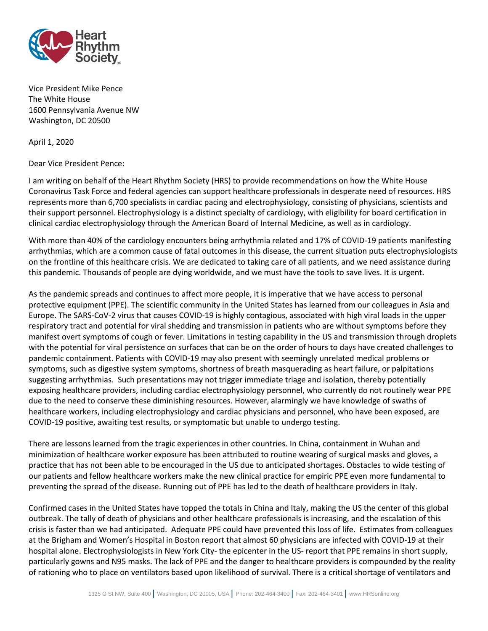

Vice President Mike Pence The White House 1600 Pennsylvania Avenue NW Washington, DC 20500

April 1, 2020

Dear Vice President Pence:

I am writing on behalf of the Heart Rhythm Society (HRS) to provide recommendations on how the White House Coronavirus Task Force and federal agencies can support healthcare professionals in desperate need of resources. HRS represents more than 6,700 specialists in cardiac pacing and electrophysiology, consisting of physicians, scientists and their support personnel. Electrophysiology is a distinct specialty of cardiology, with eligibility for board certification in clinical cardiac electrophysiology through the American Board of Internal Medicine, as well as in cardiology.

With more than 40% of the cardiology encounters being arrhythmia related and 17% of COVID-19 patients manifesting arrhythmias, which are a common cause of fatal outcomes in this disease, the current situation puts electrophysiologists on the frontline of this healthcare crisis. We are dedicated to taking care of all patients, and we need assistance during this pandemic. Thousands of people are dying worldwide, and we must have the tools to save lives. It is urgent.

As the pandemic spreads and continues to affect more people, it is imperative that we have access to personal protective equipment (PPE). The scientific community in the United States has learned from our colleagues in Asia and Europe. The SARS-CoV-2 virus that causes COVID-19 is highly contagious, associated with high viral loads in the upper respiratory tract and potential for viral shedding and transmission in patients who are without symptoms before they manifest overt symptoms of cough or fever. Limitations in testing capability in the US and transmission through droplets with the potential for viral persistence on surfaces that can be on the order of hours to days have created challenges to pandemic containment. Patients with COVID-19 may also present with seemingly unrelated medical problems or symptoms, such as digestive system symptoms, shortness of breath masquerading as heart failure, or palpitations suggesting arrhythmias. Such presentations may not trigger immediate triage and isolation, thereby potentially exposing healthcare providers, including cardiac electrophysiology personnel, who currently do not routinely wear PPE due to the need to conserve these diminishing resources. However, alarmingly we have knowledge of swaths of healthcare workers, including electrophysiology and cardiac physicians and personnel, who have been exposed, are COVID-19 positive, awaiting test results, or symptomatic but unable to undergo testing.

There are lessons learned from the tragic experiences in other countries. In China, containment in Wuhan and minimization of healthcare worker exposure has been attributed to routine wearing of surgical masks and gloves, a practice that has not been able to be encouraged in the US due to anticipated shortages. Obstacles to wide testing of our patients and fellow healthcare workers make the new clinical practice for empiric PPE even more fundamental to preventing the spread of the disease. Running out of PPE has led to the death of healthcare providers in Italy.

Confirmed cases in the United States have topped the totals in China and Italy, making the US the center of this global outbreak. The tally of death of physicians and other healthcare professionals is increasing, and the escalation of this crisis is faster than we had anticipated. Adequate PPE could have prevented this loss of life. Estimates from colleagues at the Brigham and Women's Hospital in Boston report that almost 60 physicians are infected with COVID-19 at their hospital alone. Electrophysiologists in New York City- the epicenter in the US- report that PPE remains in short supply, particularly gowns and N95 masks. The lack of PPE and the danger to healthcare providers is compounded by the reality of rationing who to place on ventilators based upon likelihood of survival. There is a critical shortage of ventilators and